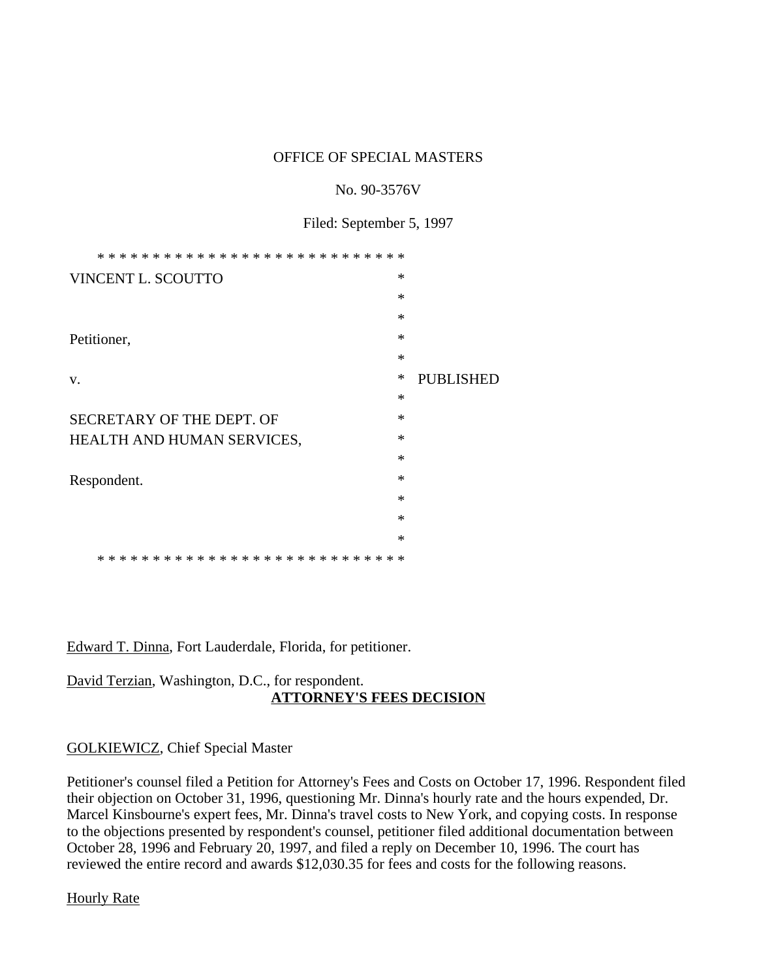### OFFICE OF SPECIAL MASTERS

#### No. 90-3576V

Filed: September 5, 1997

| * * *<br>ж.<br>* * * *     |        |                  |
|----------------------------|--------|------------------|
| VINCENT L. SCOUTTO         | ∗      |                  |
|                            | $\ast$ |                  |
|                            | $\ast$ |                  |
| Petitioner,                | $\ast$ |                  |
|                            | $\ast$ |                  |
| V.                         | $\ast$ | <b>PUBLISHED</b> |
|                            | $\ast$ |                  |
| SECRETARY OF THE DEPT. OF  | ∗      |                  |
| HEALTH AND HUMAN SERVICES, | $\ast$ |                  |
|                            | $\ast$ |                  |
| Respondent.                | $\ast$ |                  |
|                            | $\ast$ |                  |
|                            | ∗      |                  |
|                            | $\ast$ |                  |
|                            |        |                  |

Edward T. Dinna, Fort Lauderdale, Florida, for petitioner.

## David Terzian, Washington, D.C., for respondent. **ATTORNEY'S FEES DECISION**

## GOLKIEWICZ, Chief Special Master

Petitioner's counsel filed a Petition for Attorney's Fees and Costs on October 17, 1996. Respondent filed their objection on October 31, 1996, questioning Mr. Dinna's hourly rate and the hours expended, Dr. Marcel Kinsbourne's expert fees, Mr. Dinna's travel costs to New York, and copying costs. In response to the objections presented by respondent's counsel, petitioner filed additional documentation between October 28, 1996 and February 20, 1997, and filed a reply on December 10, 1996. The court has reviewed the entire record and awards \$12,030.35 for fees and costs for the following reasons.

Hourly Rate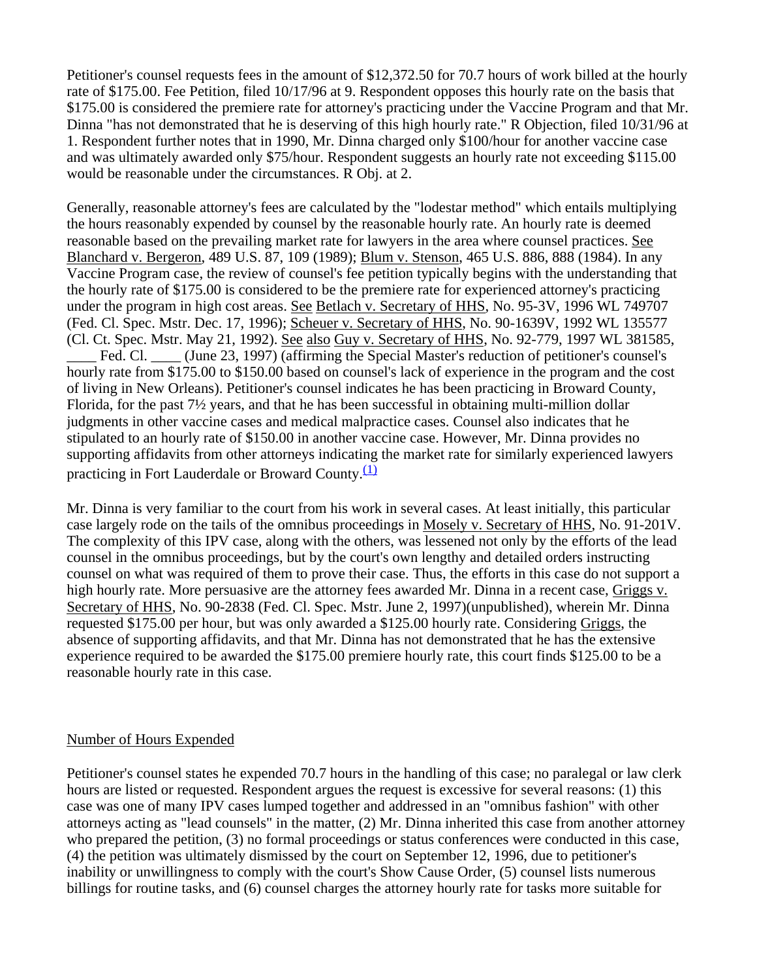Petitioner's counsel requests fees in the amount of \$12,372.50 for 70.7 hours of work billed at the hourly rate of \$175.00. Fee Petition, filed 10/17/96 at 9. Respondent opposes this hourly rate on the basis that \$175.00 is considered the premiere rate for attorney's practicing under the Vaccine Program and that Mr. Dinna "has not demonstrated that he is deserving of this high hourly rate." R Objection, filed 10/31/96 at 1. Respondent further notes that in 1990, Mr. Dinna charged only \$100/hour for another vaccine case and was ultimately awarded only \$75/hour. Respondent suggests an hourly rate not exceeding \$115.00 would be reasonable under the circumstances. R Obj. at 2.

Generally, reasonable attorney's fees are calculated by the "lodestar method" which entails multiplying the hours reasonably expended by counsel by the reasonable hourly rate. An hourly rate is deemed reasonable based on the prevailing market rate for lawyers in the area where counsel practices. See Blanchard v. Bergeron, 489 U.S. 87, 109 (1989); Blum v. Stenson, 465 U.S. 886, 888 (1984). In any Vaccine Program case, the review of counsel's fee petition typically begins with the understanding that the hourly rate of \$175.00 is considered to be the premiere rate for experienced attorney's practicing under the program in high cost areas. See Betlach v. Secretary of HHS, No. 95-3V, 1996 WL 749707 (Fed. Cl. Spec. Mstr. Dec. 17, 1996); Scheuer v. Secretary of HHS, No. 90-1639V, 1992 WL 135577 (Cl. Ct. Spec. Mstr. May 21, 1992). See also Guy v. Secretary of HHS, No. 92-779, 1997 WL 381585, Fed. Cl. (June 23, 1997) (affirming the Special Master's reduction of petitioner's counsel's hourly rate from \$175.00 to \$150.00 based on counsel's lack of experience in the program and the cost of living in New Orleans). Petitioner's counsel indicates he has been practicing in Broward County, Florida, for the past 7½ years, and that he has been successful in obtaining multi-million dollar judgments in other vaccine cases and medical malpractice cases. Counsel also indicates that he stipulated to an hourly rate of \$150.00 in another vaccine case. However, Mr. Dinna provides no supporting affidavits from other attorneys indicating the market rate for similarly experienced lawyers practicing in Fort Lauderdale or Broward County. $\frac{(1)}{(1)}$ 

Mr. Dinna is very familiar to the court from his work in several cases. At least initially, this particular case largely rode on the tails of the omnibus proceedings in Mosely v. Secretary of HHS, No. 91-201V. The complexity of this IPV case, along with the others, was lessened not only by the efforts of the lead counsel in the omnibus proceedings, but by the court's own lengthy and detailed orders instructing counsel on what was required of them to prove their case. Thus, the efforts in this case do not support a high hourly rate. More persuasive are the attorney fees awarded Mr. Dinna in a recent case, Griggs v. Secretary of HHS, No. 90-2838 (Fed. Cl. Spec. Mstr. June 2, 1997)(unpublished), wherein Mr. Dinna requested \$175.00 per hour, but was only awarded a \$125.00 hourly rate. Considering Griggs, the absence of supporting affidavits, and that Mr. Dinna has not demonstrated that he has the extensive experience required to be awarded the \$175.00 premiere hourly rate, this court finds \$125.00 to be a reasonable hourly rate in this case.

#### Number of Hours Expended

Petitioner's counsel states he expended 70.7 hours in the handling of this case; no paralegal or law clerk hours are listed or requested. Respondent argues the request is excessive for several reasons: (1) this case was one of many IPV cases lumped together and addressed in an "omnibus fashion" with other attorneys acting as "lead counsels" in the matter, (2) Mr. Dinna inherited this case from another attorney who prepared the petition, (3) no formal proceedings or status conferences were conducted in this case, (4) the petition was ultimately dismissed by the court on September 12, 1996, due to petitioner's inability or unwillingness to comply with the court's Show Cause Order, (5) counsel lists numerous billings for routine tasks, and (6) counsel charges the attorney hourly rate for tasks more suitable for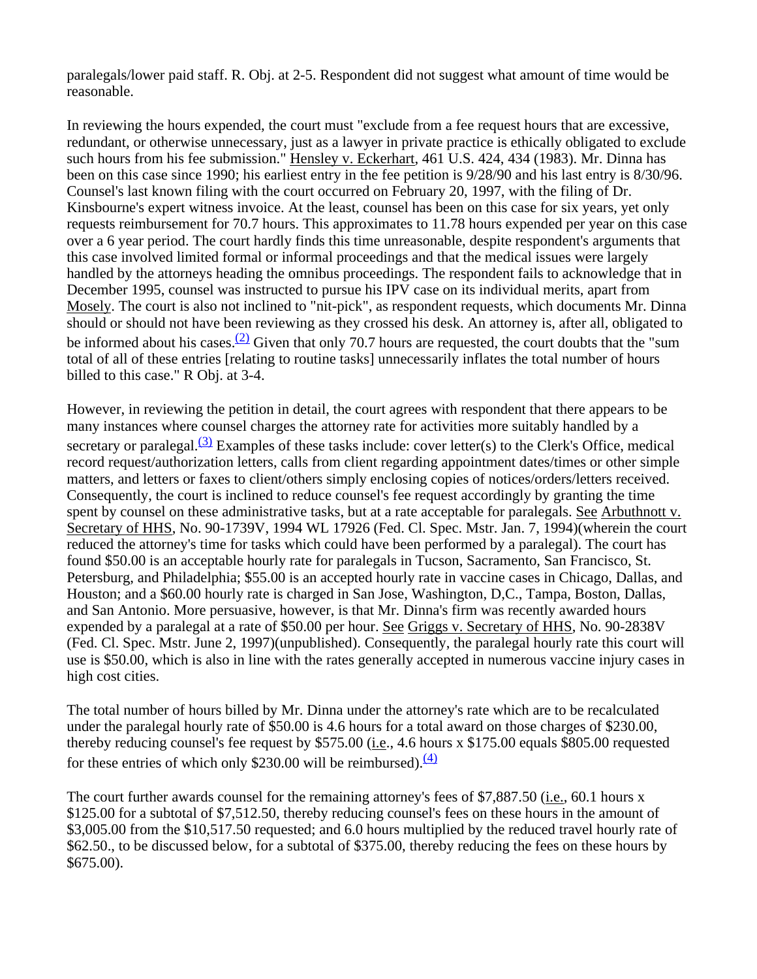paralegals/lower paid staff. R. Obj. at 2-5. Respondent did not suggest what amount of time would be reasonable.

In reviewing the hours expended, the court must "exclude from a fee request hours that are excessive, redundant, or otherwise unnecessary, just as a lawyer in private practice is ethically obligated to exclude such hours from his fee submission." Hensley v. Eckerhart, 461 U.S. 424, 434 (1983). Mr. Dinna has been on this case since 1990; his earliest entry in the fee petition is 9/28/90 and his last entry is 8/30/96. Counsel's last known filing with the court occurred on February 20, 1997, with the filing of Dr. Kinsbourne's expert witness invoice. At the least, counsel has been on this case for six years, yet only requests reimbursement for 70.7 hours. This approximates to 11.78 hours expended per year on this case over a 6 year period. The court hardly finds this time unreasonable, despite respondent's arguments that this case involved limited formal or informal proceedings and that the medical issues were largely handled by the attorneys heading the omnibus proceedings. The respondent fails to acknowledge that in December 1995, counsel was instructed to pursue his IPV case on its individual merits, apart from Mosely. The court is also not inclined to "nit-pick", as respondent requests, which documents Mr. Dinna should or should not have been reviewing as they crossed his desk. An attorney is, after all, obligated to be informed about his cases.<sup>(2)</sup> Given that only 70.7 hours are requested, the court doubts that the "sum total of all of these entries [relating to routine tasks] unnecessarily inflates the total number of hours billed to this case." R Obj. at 3-4.

However, in reviewing the petition in detail, the court agrees with respondent that there appears to be many instances where counsel charges the attorney rate for activities more suitably handled by a secretary or paralegal. $(3)$  Examples of these tasks include: cover letter(s) to the Clerk's Office, medical record request/authorization letters, calls from client regarding appointment dates/times or other simple matters, and letters or faxes to client/others simply enclosing copies of notices/orders/letters received. Consequently, the court is inclined to reduce counsel's fee request accordingly by granting the time spent by counsel on these administrative tasks, but at a rate acceptable for paralegals. See Arbuthnott v. Secretary of HHS, No. 90-1739V, 1994 WL 17926 (Fed. Cl. Spec. Mstr. Jan. 7, 1994)(wherein the court reduced the attorney's time for tasks which could have been performed by a paralegal). The court has found \$50.00 is an acceptable hourly rate for paralegals in Tucson, Sacramento, San Francisco, St. Petersburg, and Philadelphia; \$55.00 is an accepted hourly rate in vaccine cases in Chicago, Dallas, and Houston; and a \$60.00 hourly rate is charged in San Jose, Washington, D,C., Tampa, Boston, Dallas, and San Antonio. More persuasive, however, is that Mr. Dinna's firm was recently awarded hours expended by a paralegal at a rate of \$50.00 per hour. See Griggs v. Secretary of HHS, No. 90-2838V (Fed. Cl. Spec. Mstr. June 2, 1997)(unpublished). Consequently, the paralegal hourly rate this court will use is \$50.00, which is also in line with the rates generally accepted in numerous vaccine injury cases in high cost cities.

The total number of hours billed by Mr. Dinna under the attorney's rate which are to be recalculated under the paralegal hourly rate of \$50.00 is 4.6 hours for a total award on those charges of \$230.00, thereby reducing counsel's fee request by \$575.00 (*i.e.*, 4.6 hours x \$175.00 equals \$805.00 requested for these entries of which only \$230.00 will be reimbursed). $\frac{4}{2}$ 

The court further awards counsel for the remaining attorney's fees of \$7,887.50 (i.e., 60.1 hours x \$125.00 for a subtotal of \$7,512.50, thereby reducing counsel's fees on these hours in the amount of \$3,005.00 from the \$10,517.50 requested; and 6.0 hours multiplied by the reduced travel hourly rate of \$62.50., to be discussed below, for a subtotal of \$375.00, thereby reducing the fees on these hours by \$675.00).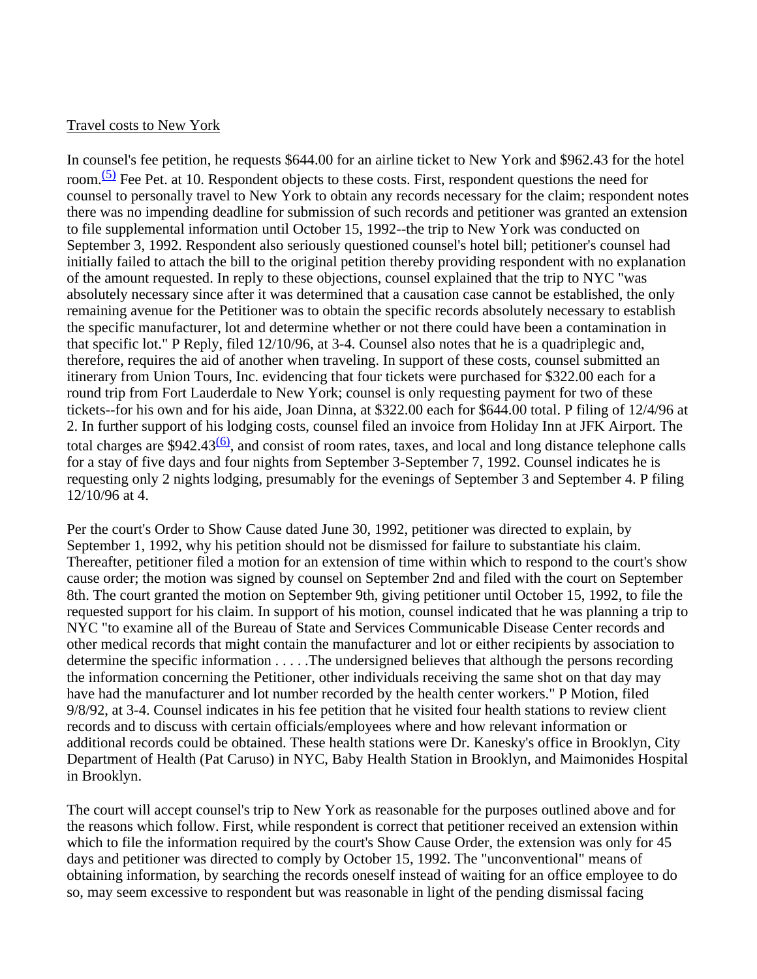#### Travel costs to New York

In counsel's fee petition, he requests \$644.00 for an airline ticket to New York and \$962.43 for the hotel room. $(5)$  Fee Pet. at 10. Respondent objects to these costs. First, respondent questions the need for counsel to personally travel to New York to obtain any records necessary for the claim; respondent notes there was no impending deadline for submission of such records and petitioner was granted an extension to file supplemental information until October 15, 1992--the trip to New York was conducted on September 3, 1992. Respondent also seriously questioned counsel's hotel bill; petitioner's counsel had initially failed to attach the bill to the original petition thereby providing respondent with no explanation of the amount requested. In reply to these objections, counsel explained that the trip to NYC "was absolutely necessary since after it was determined that a causation case cannot be established, the only remaining avenue for the Petitioner was to obtain the specific records absolutely necessary to establish the specific manufacturer, lot and determine whether or not there could have been a contamination in that specific lot." P Reply, filed 12/10/96, at 3-4. Counsel also notes that he is a quadriplegic and, therefore, requires the aid of another when traveling. In support of these costs, counsel submitted an itinerary from Union Tours, Inc. evidencing that four tickets were purchased for \$322.00 each for a round trip from Fort Lauderdale to New York; counsel is only requesting payment for two of these tickets--for his own and for his aide, Joan Dinna, at \$322.00 each for \$644.00 total. P filing of 12/4/96 at 2. In further support of his lodging costs, counsel filed an invoice from Holiday Inn at JFK Airport. The total charges are  $$942.43<sup>(6)</sup>$ , and consist of room rates, taxes, and local and long distance telephone calls for a stay of five days and four nights from September 3-September 7, 1992. Counsel indicates he is requesting only 2 nights lodging, presumably for the evenings of September 3 and September 4. P filing 12/10/96 at 4.

Per the court's Order to Show Cause dated June 30, 1992, petitioner was directed to explain, by September 1, 1992, why his petition should not be dismissed for failure to substantiate his claim. Thereafter, petitioner filed a motion for an extension of time within which to respond to the court's show cause order; the motion was signed by counsel on September 2nd and filed with the court on September 8th. The court granted the motion on September 9th, giving petitioner until October 15, 1992, to file the requested support for his claim. In support of his motion, counsel indicated that he was planning a trip to NYC "to examine all of the Bureau of State and Services Communicable Disease Center records and other medical records that might contain the manufacturer and lot or either recipients by association to determine the specific information . . . . .The undersigned believes that although the persons recording the information concerning the Petitioner, other individuals receiving the same shot on that day may have had the manufacturer and lot number recorded by the health center workers." P Motion, filed 9/8/92, at 3-4. Counsel indicates in his fee petition that he visited four health stations to review client records and to discuss with certain officials/employees where and how relevant information or additional records could be obtained. These health stations were Dr. Kanesky's office in Brooklyn, City Department of Health (Pat Caruso) in NYC, Baby Health Station in Brooklyn, and Maimonides Hospital in Brooklyn.

The court will accept counsel's trip to New York as reasonable for the purposes outlined above and for the reasons which follow. First, while respondent is correct that petitioner received an extension within which to file the information required by the court's Show Cause Order, the extension was only for 45 days and petitioner was directed to comply by October 15, 1992. The "unconventional" means of obtaining information, by searching the records oneself instead of waiting for an office employee to do so, may seem excessive to respondent but was reasonable in light of the pending dismissal facing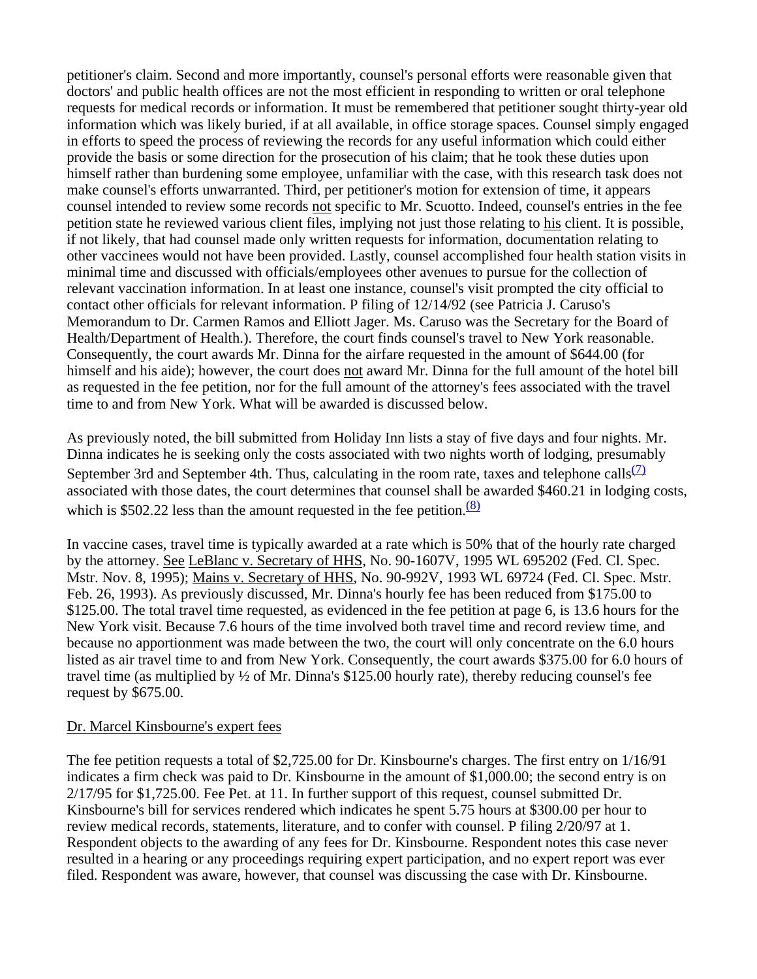petitioner's claim. Second and more importantly, counsel's personal efforts were reasonable given that doctors' and public health offices are not the most efficient in responding to written or oral telephone requests for medical records or information. It must be remembered that petitioner sought thirty-year old information which was likely buried, if at all available, in office storage spaces. Counsel simply engaged in efforts to speed the process of reviewing the records for any useful information which could either provide the basis or some direction for the prosecution of his claim; that he took these duties upon himself rather than burdening some employee, unfamiliar with the case, with this research task does not make counsel's efforts unwarranted. Third, per petitioner's motion for extension of time, it appears counsel intended to review some records not specific to Mr. Scuotto. Indeed, counsel's entries in the fee petition state he reviewed various client files, implying not just those relating to his client. It is possible, if not likely, that had counsel made only written requests for information, documentation relating to other vaccinees would not have been provided. Lastly, counsel accomplished four health station visits in minimal time and discussed with officials/employees other avenues to pursue for the collection of relevant vaccination information. In at least one instance, counsel's visit prompted the city official to contact other officials for relevant information. P filing of 12/14/92 (see Patricia J. Caruso's Memorandum to Dr. Carmen Ramos and Elliott Jager. Ms. Caruso was the Secretary for the Board of Health/Department of Health.). Therefore, the court finds counsel's travel to New York reasonable. Consequently, the court awards Mr. Dinna for the airfare requested in the amount of \$644.00 (for himself and his aide); however, the court does not award Mr. Dinna for the full amount of the hotel bill as requested in the fee petition, nor for the full amount of the attorney's fees associated with the travel time to and from New York. What will be awarded is discussed below.

As previously noted, the bill submitted from Holiday Inn lists a stay of five days and four nights. Mr. Dinna indicates he is seeking only the costs associated with two nights worth of lodging, presumably September 3rd and September 4th. Thus, calculating in the room rate, taxes and telephone calls $\frac{(7)}{2}$ associated with those dates, the court determines that counsel shall be awarded \$460.21 in lodging costs, which is  $$502.22$  less than the amount requested in the fee petition.<sup>(8)</sup>

In vaccine cases, travel time is typically awarded at a rate which is 50% that of the hourly rate charged by the attorney. See LeBlanc v. Secretary of HHS, No. 90-1607V, 1995 WL 695202 (Fed. Cl. Spec. Mstr. Nov. 8, 1995); Mains v. Secretary of HHS, No. 90-992V, 1993 WL 69724 (Fed. Cl. Spec. Mstr. Feb. 26, 1993). As previously discussed, Mr. Dinna's hourly fee has been reduced from \$175.00 to \$125.00. The total travel time requested, as evidenced in the fee petition at page 6, is 13.6 hours for the New York visit. Because 7.6 hours of the time involved both travel time and record review time, and because no apportionment was made between the two, the court will only concentrate on the 6.0 hours listed as air travel time to and from New York. Consequently, the court awards \$375.00 for 6.0 hours of travel time (as multiplied by ½ of Mr. Dinna's \$125.00 hourly rate), thereby reducing counsel's fee request by \$675.00.

## Dr. Marcel Kinsbourne's expert fees

The fee petition requests a total of \$2,725.00 for Dr. Kinsbourne's charges. The first entry on 1/16/91 indicates a firm check was paid to Dr. Kinsbourne in the amount of \$1,000.00; the second entry is on 2/17/95 for \$1,725.00. Fee Pet. at 11. In further support of this request, counsel submitted Dr. Kinsbourne's bill for services rendered which indicates he spent 5.75 hours at \$300.00 per hour to review medical records, statements, literature, and to confer with counsel. P filing 2/20/97 at 1. Respondent objects to the awarding of any fees for Dr. Kinsbourne. Respondent notes this case never resulted in a hearing or any proceedings requiring expert participation, and no expert report was ever filed. Respondent was aware, however, that counsel was discussing the case with Dr. Kinsbourne.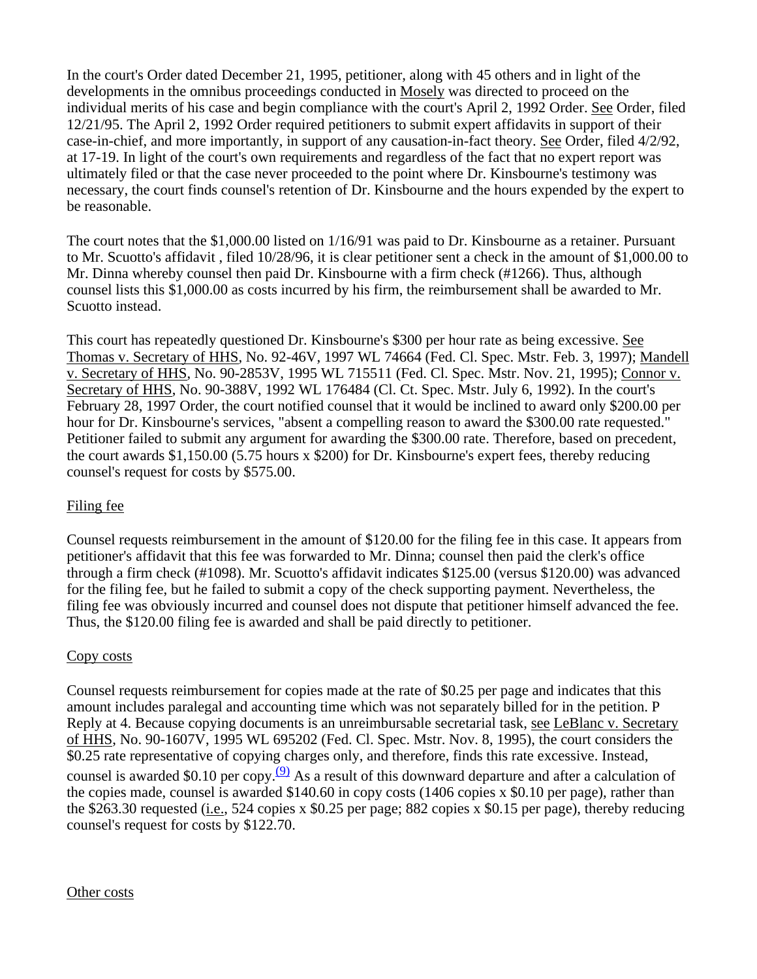In the court's Order dated December 21, 1995, petitioner, along with 45 others and in light of the developments in the omnibus proceedings conducted in Mosely was directed to proceed on the individual merits of his case and begin compliance with the court's April 2, 1992 Order. See Order, filed 12/21/95. The April 2, 1992 Order required petitioners to submit expert affidavits in support of their case-in-chief, and more importantly, in support of any causation-in-fact theory. See Order, filed 4/2/92, at 17-19. In light of the court's own requirements and regardless of the fact that no expert report was ultimately filed or that the case never proceeded to the point where Dr. Kinsbourne's testimony was necessary, the court finds counsel's retention of Dr. Kinsbourne and the hours expended by the expert to be reasonable.

The court notes that the \$1,000.00 listed on 1/16/91 was paid to Dr. Kinsbourne as a retainer. Pursuant to Mr. Scuotto's affidavit , filed 10/28/96, it is clear petitioner sent a check in the amount of \$1,000.00 to Mr. Dinna whereby counsel then paid Dr. Kinsbourne with a firm check (#1266). Thus, although counsel lists this \$1,000.00 as costs incurred by his firm, the reimbursement shall be awarded to Mr. Scuotto instead.

This court has repeatedly questioned Dr. Kinsbourne's \$300 per hour rate as being excessive. See Thomas v. Secretary of HHS, No. 92-46V, 1997 WL 74664 (Fed. Cl. Spec. Mstr. Feb. 3, 1997); Mandell v. Secretary of HHS, No. 90-2853V, 1995 WL 715511 (Fed. Cl. Spec. Mstr. Nov. 21, 1995); Connor v. Secretary of HHS, No. 90-388V, 1992 WL 176484 (Cl. Ct. Spec. Mstr. July 6, 1992). In the court's February 28, 1997 Order, the court notified counsel that it would be inclined to award only \$200.00 per hour for Dr. Kinsbourne's services, "absent a compelling reason to award the \$300.00 rate requested." Petitioner failed to submit any argument for awarding the \$300.00 rate. Therefore, based on precedent, the court awards \$1,150.00 (5.75 hours x \$200) for Dr. Kinsbourne's expert fees, thereby reducing counsel's request for costs by \$575.00.

# Filing fee

Counsel requests reimbursement in the amount of \$120.00 for the filing fee in this case. It appears from petitioner's affidavit that this fee was forwarded to Mr. Dinna; counsel then paid the clerk's office through a firm check (#1098). Mr. Scuotto's affidavit indicates \$125.00 (versus \$120.00) was advanced for the filing fee, but he failed to submit a copy of the check supporting payment. Nevertheless, the filing fee was obviously incurred and counsel does not dispute that petitioner himself advanced the fee. Thus, the \$120.00 filing fee is awarded and shall be paid directly to petitioner.

## Copy costs

Counsel requests reimbursement for copies made at the rate of \$0.25 per page and indicates that this amount includes paralegal and accounting time which was not separately billed for in the petition. P Reply at 4. Because copying documents is an unreimbursable secretarial task, see LeBlanc v. Secretary of HHS, No. 90-1607V, 1995 WL 695202 (Fed. Cl. Spec. Mstr. Nov. 8, 1995), the court considers the \$0.25 rate representative of copying charges only, and therefore, finds this rate excessive. Instead, counsel is awarded \$0.10 per copy.<sup>(9)</sup> As a result of this downward departure and after a calculation of the copies made, counsel is awarded \$140.60 in copy costs (1406 copies x \$0.10 per page), rather than the \$263.30 requested (i.e., 524 copies x \$0.25 per page; 882 copies x \$0.15 per page), thereby reducing counsel's request for costs by \$122.70.

## Other costs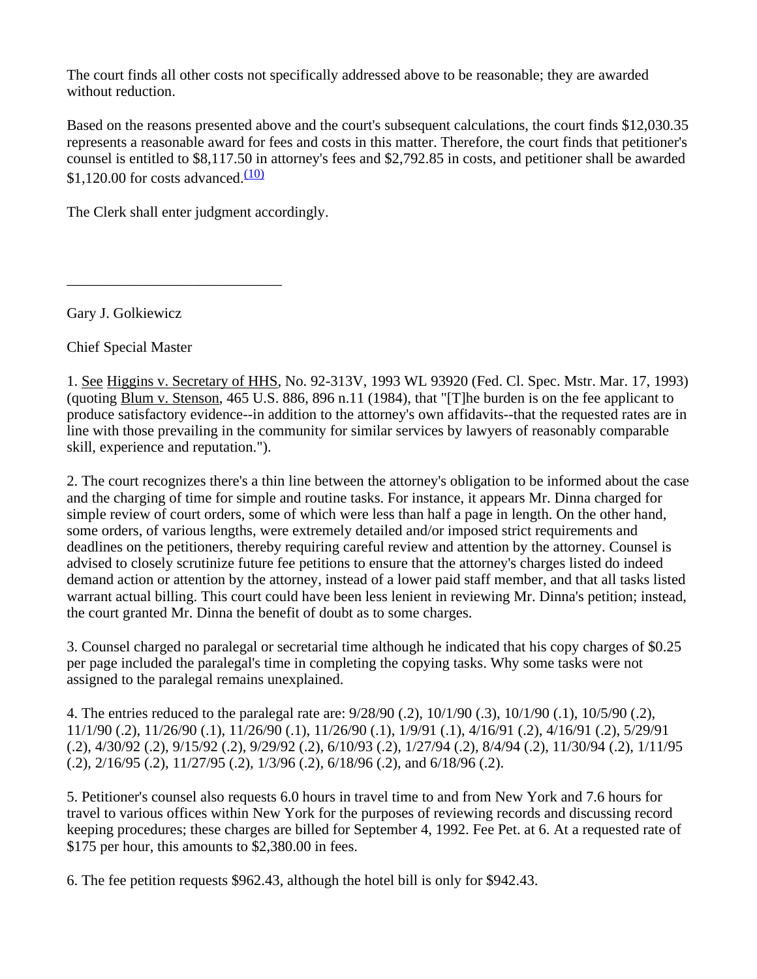The court finds all other costs not specifically addressed above to be reasonable; they are awarded without reduction.

Based on the reasons presented above and the court's subsequent calculations, the court finds \$12,030.35 represents a reasonable award for fees and costs in this matter. Therefore, the court finds that petitioner's counsel is entitled to \$8,117.50 in attorney's fees and \$2,792.85 in costs, and petitioner shall be awarded  $$1,120.00$  for costs advanced. $\frac{(10)}{2}$ 

The Clerk shall enter judgment accordingly.

\_\_\_\_\_\_\_\_\_\_\_\_\_\_\_\_\_\_\_\_\_\_\_\_\_\_\_\_\_

Gary J. Golkiewicz

Chief Special Master

1. See Higgins v. Secretary of HHS, No. 92-313V, 1993 WL 93920 (Fed. Cl. Spec. Mstr. Mar. 17, 1993) (quoting Blum v. Stenson, 465 U.S. 886, 896 n.11 (1984), that "[T]he burden is on the fee applicant to produce satisfactory evidence--in addition to the attorney's own affidavits--that the requested rates are in line with those prevailing in the community for similar services by lawyers of reasonably comparable skill, experience and reputation.").

2. The court recognizes there's a thin line between the attorney's obligation to be informed about the case and the charging of time for simple and routine tasks. For instance, it appears Mr. Dinna charged for simple review of court orders, some of which were less than half a page in length. On the other hand, some orders, of various lengths, were extremely detailed and/or imposed strict requirements and deadlines on the petitioners, thereby requiring careful review and attention by the attorney. Counsel is advised to closely scrutinize future fee petitions to ensure that the attorney's charges listed do indeed demand action or attention by the attorney, instead of a lower paid staff member, and that all tasks listed warrant actual billing. This court could have been less lenient in reviewing Mr. Dinna's petition; instead, the court granted Mr. Dinna the benefit of doubt as to some charges.

3. Counsel charged no paralegal or secretarial time although he indicated that his copy charges of \$0.25 per page included the paralegal's time in completing the copying tasks. Why some tasks were not assigned to the paralegal remains unexplained.

4. The entries reduced to the paralegal rate are: 9/28/90 (.2), 10/1/90 (.3), 10/1/90 (.1), 10/5/90 (.2), 11/1/90 (.2), 11/26/90 (.1), 11/26/90 (.1), 11/26/90 (.1), 1/9/91 (.1), 4/16/91 (.2), 4/16/91 (.2), 5/29/91 (.2), 4/30/92 (.2), 9/15/92 (.2), 9/29/92 (.2), 6/10/93 (.2), 1/27/94 (.2), 8/4/94 (.2), 11/30/94 (.2), 1/11/95 (.2), 2/16/95 (.2), 11/27/95 (.2), 1/3/96 (.2), 6/18/96 (.2), and 6/18/96 (.2).

5. Petitioner's counsel also requests 6.0 hours in travel time to and from New York and 7.6 hours for travel to various offices within New York for the purposes of reviewing records and discussing record keeping procedures; these charges are billed for September 4, 1992. Fee Pet. at 6. At a requested rate of \$175 per hour, this amounts to \$2,380.00 in fees.

6. The fee petition requests \$962.43, although the hotel bill is only for \$942.43.